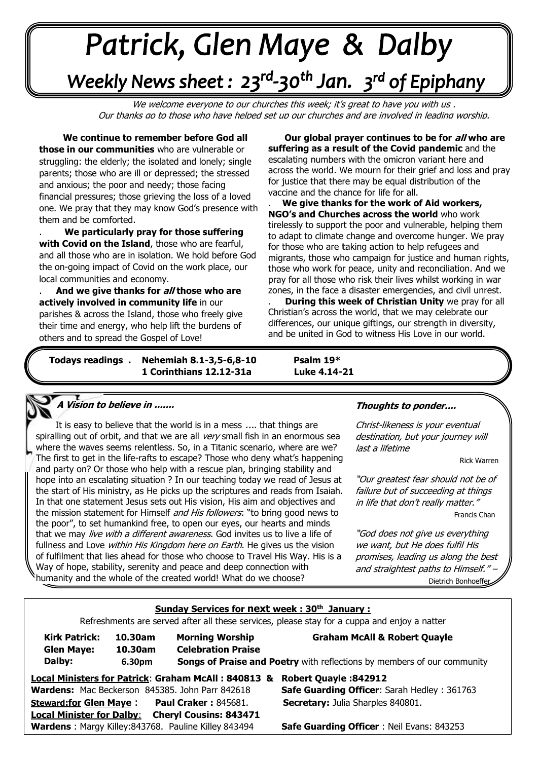# +v++++ -\*\*\*\*\*

## Weekly News sheet: 23<sup>rd</sup>-30<sup>th</sup> Jan. 3<sup>rd</sup> of Epiphany

We welcome everyone to our churches this week; it's great to have you with us, Our thanks go to those who have helped set up our churches and are involved in leading worship.

 **We continue to remember before God all those in our communities** who are vulnerable or struggling: the elderly; the isolated and lonely; single parents; those who are ill or depressed; the stressed and anxious; the poor and needy; those facing financial pressures; those grieving the loss of a loved one. We pray that they may know God's presence with them and be comforted.

**with Covid on the Island**, those who are fearful,<br>and all those who are in isolation. We hold before God  the on-going impact of Covid on the work place, our **Communities and economy.**<br>**And we give thanks for all** . **We particularly pray for those suffering with Covid on the Island**, those who are fearful,

. **And we give thanks for all those who are actively involved in community life** in our parishes & across the Island, those who freely give their time and energy, who help lift the burdens of others and to spread the Gospel of Love!

. **Our global prayer continues to be for all who are suffering as a result of the Covid pandemic** and the escalating numbers with the omicron variant here and across the world. We mourn for their grief and loss and pray for justice that there may be equal distribution of the vaccine and the chance for life for all.

. **We give thanks for the work of Aid workers, NGO's and Churches across the world** who work tirelessly to support the poor and vulnerable, helping them to adapt to climate change and overcome hunger. We pray for those who are **t**aking action to help refugees and migrants, those who campaign for justice and human rights, those who work for peace, unity and reconciliation. And we pray for all those who risk their lives whilst working in war zones, in the face a disaster emergencies, and civil unrest.

. **During this week of Christian Unity** we pray for all Christian's across the world, that we may celebrate our differences, our unique giftings, our strength in diversity, and be united in God to witness His Love in our world.

*June: Trinity Sunday* 

**Nehemiah 8.1-3,5-6,8-10 1 Corinthians 12.12-31a Luke 4.14-21** 

**Psalm 19\*** 

#### **A Vision to believe in .......**

 The first to get in the life-rafts to escape? Those who deny what's happening  and party on? Or those who help with a rescue plan, bringing stability and It is easy to believe that the world is in a mess .... that things are spiralling out of orbit, and that we are all very small fish in an enormous sea where the waves seems relentless. So, in a Titanic scenario, where are we? hope into an escalating situation ? In our teaching today we read of Jesus at the start of His ministry, as He picks up the scriptures and reads from Isaiah. In that one statement Jesus sets out His vision, His aim and objectives and the mission statement for Himself and His followers: "to bring good news to the poor", to set humankind free, to open our eyes, our hearts and minds that we may *live with a different awareness*. God invites us to live a life of fullness and Love within His Kingdom here on Earth. He gives us the vision of fulfilment that lies ahead for those who choose to Travel His Way. His is a Way of hope, stability, serenity and peace and deep connection with humanity and the whole of the created world! What do we choose?

#### **Thoughts to ponder....**

Christ-likeness is your eventual destination, but your journey will last a lifetime

. Rick Warren

"Our greatest fear should not be of failure but of succeeding at things in life that don't really matter." . Francis Chan

"God does not give us everything we want, but He does fulfil His promises, leading us along the best and straightest paths to Himself." Dietrich Bonhoeffer

| Sunday Services for next week: 30 <sup>th</sup> January:                                     |                              |                                                     |                                                                                                                           |  |
|----------------------------------------------------------------------------------------------|------------------------------|-----------------------------------------------------|---------------------------------------------------------------------------------------------------------------------------|--|
| Refreshments are served after all these services, please stay for a cuppa and enjoy a natter |                              |                                                     |                                                                                                                           |  |
| <b>Kirk Patrick:</b><br><b>Glen Maye:</b><br>Dalby:                                          | 10.30am<br>10.30am<br>6.30pm | <b>Morning Worship</b><br><b>Celebration Praise</b> | <b>Graham McAll &amp; Robert Quayle</b><br><b>Songs of Praise and Poetry</b> with reflections by members of our community |  |
| Local Ministers for Patrick: Graham McAll: 840813 &<br><b>Robert Quayle: 842912</b>          |                              |                                                     |                                                                                                                           |  |
|                                                                                              |                              | Wardens: Mac Beckerson 845385. John Parr 842618     | <b>Safe Guarding Officer: Sarah Hedley: 361763</b>                                                                        |  |
|                                                                                              |                              | <b>Steward:for Glen Maye:</b> Paul Craker: 845681.  | <b>Secretary: Julia Sharples 840801.</b>                                                                                  |  |
| <b>Local Minister for Dalby:</b> Cheryl Cousins: 843471                                      |                              |                                                     |                                                                                                                           |  |
|                                                                                              |                              | Wardens: Margy Killey:843768. Pauline Killey 843494 | <b>Safe Guarding Officer: Neil Evans: 843253</b>                                                                          |  |